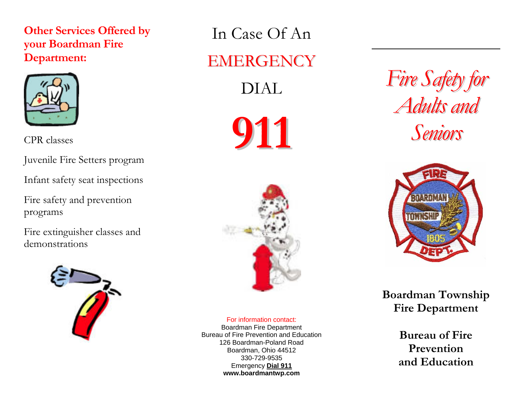## **Other Services Offered by your Boardman Fire Department:**



CPR classes

Juvenile Fire Setters program

Infant safety seat inspections

Fire safety and prevention programs

Fire extinguisher classes and demonstrations



In Case Of An EMERGENCY

DIAL





## For information contact:

Boardman Fire Department Bureau of Fire Prevention and Education126 Boardman-Poland RoadBoardman, Ohio 44512 330-729-9535Emergency **Dial 911 www.boardmantwp.com** 

*Fire Safety for Adults and Seniors*



**Boardman Township Fire Department** 

> **Bureau of Fire Prevention and Education**